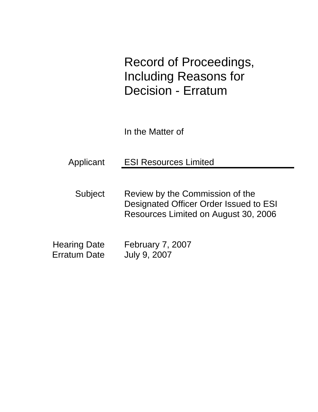Record of Proceedings, Including Reasons for Decision - Erratum

In the Matter of

| Applicant | <b>ESI Resources Limited</b> |
|-----------|------------------------------|
|           |                              |

Subject Review by the Commission of the Designated Officer Order Issued to ESI Resources Limited on August 30, 2006

| <b>Hearing Date</b> | February 7, 2007 |
|---------------------|------------------|
| Erratum Date        | July 9, 2007     |